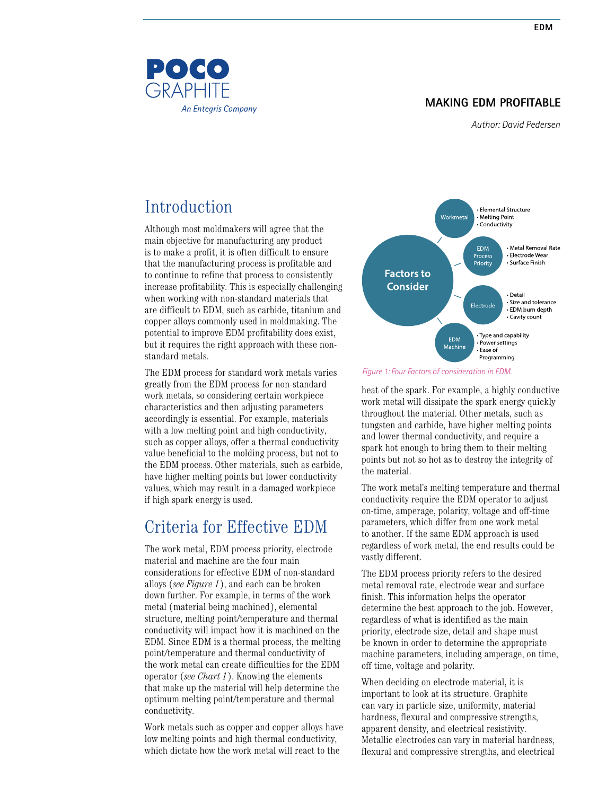### **MAKING EDM PROFITABLE**

*Author: David Pedersen*

# Introduction

POCO **GRAPHITE** 

**An Entegris Company** 

Although most moldmakers will agree that the main objective for manufacturing any product is to make a profit, it is often difficult to ensure that the manufacturing process is profitable and to continue to refine that process to consistently increase profitability. This is especially challenging when working with non-standard materials that are difficult to EDM, such as carbide, titanium and copper alloys commonly used in moldmaking. The potential to improve EDM profitability does exist, but it requires the right approach with these nonstandard metals.

The EDM process for standard work metals varies greatly from the EDM process for non-standard work metals, so considering certain workpiece characteristics and then adjusting parameters accordingly is essential. For example, materials with a low melting point and high conductivity, such as copper alloys, offer a thermal conductivity value beneficial to the molding process, but not to the EDM process. Other materials, such as carbide, have higher melting points but lower conductivity values, which may result in a damaged workpiece if high spark energy is used.

### Criteria for Effective EDM

The work metal, EDM process priority, electrode material and machine are the four main considerations for effective EDM of non-standard alloys (*see Figure 1*), and each can be broken down further. For example, in terms of the work metal (material being machined), elemental structure, melting point/temperature and thermal conductivity will impact how it is machined on the EDM. Since EDM is a thermal process, the melting point/temperature and thermal conductivity of the work metal can create difficulties for the EDM operator (*see Chart 1*). Knowing the elements that make up the material will help determine the optimum melting point/temperature and thermal conductivity.

Work metals such as copper and copper alloys have low melting points and high thermal conductivity, which dictate how the work metal will react to the



*Figure 1: Four Factors of consideration in EDM.*

heat of the spark. For example, a highly conductive work metal will dissipate the spark energy quickly throughout the material. Other metals, such as tungsten and carbide, have higher melting points and lower thermal conductivity, and require a spark hot enough to bring them to their melting points but not so hot as to destroy the integrity of the material.

The work metal's melting temperature and thermal conductivity require the EDM operator to adjust on-time, amperage, polarity, voltage and off-time parameters, which differ from one work metal to another. If the same EDM approach is used regardless of work metal, the end results could be vastly different.

The EDM process priority refers to the desired metal removal rate, electrode wear and surface finish. This information helps the operator determine the best approach to the job. However, regardless of what is identified as the main priority, electrode size, detail and shape must be known in order to determine the appropriate machine parameters, including amperage, on time, off time, voltage and polarity.

When deciding on electrode material, it is important to look at its structure. Graphite can vary in particle size, uniformity, material hardness, flexural and compressive strengths, apparent density, and electrical resistivity. Metallic electrodes can vary in material hardness, flexural and compressive strengths, and electrical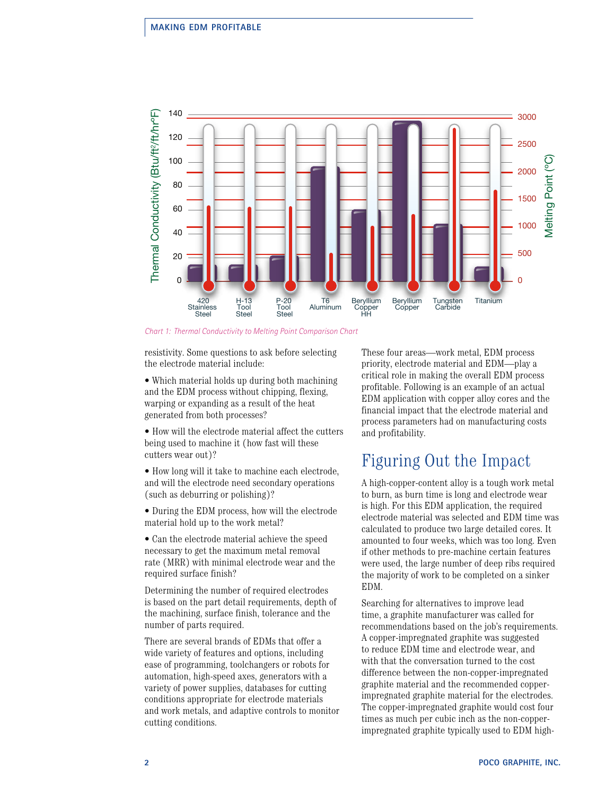

*Chart 1: Thermal Conductivity to Melting Point Comparison Chart*

resistivity. Some questions to ask before selecting the electrode material include:

• Which material holds up during both machining and the EDM process without chipping, flexing, warping or expanding as a result of the heat generated from both processes?

• How will the electrode material affect the cutters being used to machine it (how fast will these cutters wear out)?

• How long will it take to machine each electrode, and will the electrode need secondary operations (such as deburring or polishing)?

• During the EDM process, how will the electrode material hold up to the work metal?

• Can the electrode material achieve the speed necessary to get the maximum metal removal rate (MRR) with minimal electrode wear and the required surface finish?

Determining the number of required electrodes is based on the part detail requirements, depth of the machining, surface finish, tolerance and the number of parts required.

There are several brands of EDMs that offer a wide variety of features and options, including ease of programming, toolchangers or robots for automation, high-speed axes, generators with a variety of power supplies, databases for cutting conditions appropriate for electrode materials and work metals, and adaptive controls to monitor cutting conditions.

These four areas—work metal, EDM process priority, electrode material and EDM—play a critical role in making the overall EDM process profitable. Following is an example of an actual EDM application with copper alloy cores and the financial impact that the electrode material and process parameters had on manufacturing costs and profitability.

### Figuring Out the Impact

A high-copper-content alloy is a tough work metal to burn, as burn time is long and electrode wear is high. For this EDM application, the required electrode material was selected and EDM time was calculated to produce two large detailed cores. It amounted to four weeks, which was too long. Even if other methods to pre-machine certain features were used, the large number of deep ribs required the majority of work to be completed on a sinker EDM.

Searching for alternatives to improve lead time, a graphite manufacturer was called for recommendations based on the job's requirements. A copper-impregnated graphite was suggested to reduce EDM time and electrode wear, and with that the conversation turned to the cost difference between the non-copper-impregnated graphite material and the recommended copperimpregnated graphite material for the electrodes. The copper-impregnated graphite would cost four times as much per cubic inch as the non-copperimpregnated graphite typically used to EDM high-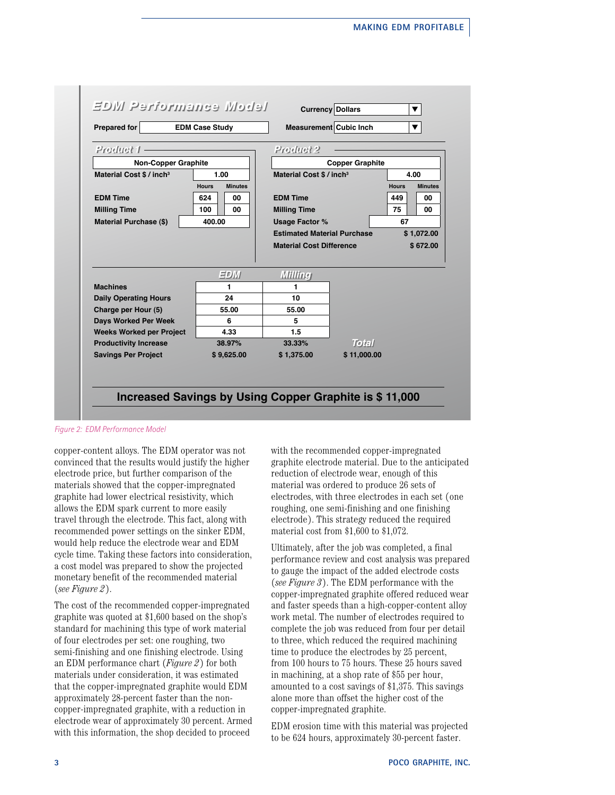

*Figure 2: EDM Performance Model*

copper-content alloys. The EDM operator was not convinced that the results would justify the higher electrode price, but further comparison of the materials showed that the copper-impregnated graphite had lower electrical resistivity, which allows the EDM spark current to more easily travel through the electrode. This fact, along with recommended power settings on the sinker EDM, would help reduce the electrode wear and EDM cycle time. Taking these factors into consideration, a cost model was prepared to show the projected monetary benefit of the recommended material (*see Figure 2*).

The cost of the recommended copper-impregnated graphite was quoted at \$1,600 based on the shop's standard for machining this type of work material of four electrodes per set: one roughing, two semi-finishing and one finishing electrode. Using an EDM performance chart (*Figure 2*) for both materials under consideration, it was estimated that the copper-impregnated graphite would EDM approximately 28-percent faster than the noncopper-impregnated graphite, with a reduction in electrode wear of approximately 30 percent. Armed with this information, the shop decided to proceed

with the recommended copper-impregnated graphite electrode material. Due to the anticipated reduction of electrode wear, enough of this material was ordered to produce 26 sets of electrodes, with three electrodes in each set (one roughing, one semi-finishing and one finishing electrode). This strategy reduced the required material cost from \$1,600 to \$1,072.

Ultimately, after the job was completed, a final performance review and cost analysis was prepared to gauge the impact of the added electrode costs (*see Figure 3*). The EDM performance with the copper-impregnated graphite offered reduced wear and faster speeds than a high-copper-content alloy work metal. The number of electrodes required to complete the job was reduced from four per detail to three, which reduced the required machining time to produce the electrodes by 25 percent, from 100 hours to 75 hours. These 25 hours saved in machining, at a shop rate of \$55 per hour, amounted to a cost savings of \$1,375. This savings alone more than offset the higher cost of the copper-impregnated graphite.

EDM erosion time with this material was projected to be 624 hours, approximately 30-percent faster.